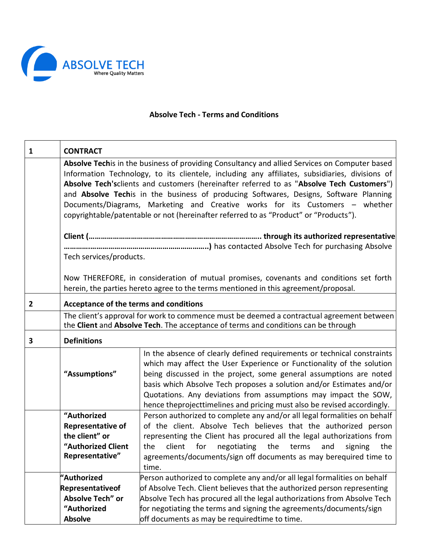

## **Absolve Tech - Terms and Conditions**

| 1              | <b>CONTRACT</b>                                                                                                                                                                                                                                                                                                                                                                                                                                                                                                                                                |                                                                                                                                                                                                                                                                                                                                                                                                                                              |
|----------------|----------------------------------------------------------------------------------------------------------------------------------------------------------------------------------------------------------------------------------------------------------------------------------------------------------------------------------------------------------------------------------------------------------------------------------------------------------------------------------------------------------------------------------------------------------------|----------------------------------------------------------------------------------------------------------------------------------------------------------------------------------------------------------------------------------------------------------------------------------------------------------------------------------------------------------------------------------------------------------------------------------------------|
|                | Absolve Techis in the business of providing Consultancy and allied Services on Computer based<br>Information Technology, to its clientele, including any affiliates, subsidiaries, divisions of<br>Absolve Tech'sclients and customers (hereinafter referred to as "Absolve Tech Customers")<br>and Absolve Techis in the business of producing Softwares, Designs, Software Planning<br>Documents/Diagrams, Marketing and Creative works for its Customers - whether<br>copyrightable/patentable or not (hereinafter referred to as "Product" or "Products"). |                                                                                                                                                                                                                                                                                                                                                                                                                                              |
|                |                                                                                                                                                                                                                                                                                                                                                                                                                                                                                                                                                                |                                                                                                                                                                                                                                                                                                                                                                                                                                              |
|                | Tech services/products.                                                                                                                                                                                                                                                                                                                                                                                                                                                                                                                                        |                                                                                                                                                                                                                                                                                                                                                                                                                                              |
|                |                                                                                                                                                                                                                                                                                                                                                                                                                                                                                                                                                                | Now THEREFORE, in consideration of mutual promises, covenants and conditions set forth<br>herein, the parties hereto agree to the terms mentioned in this agreement/proposal.                                                                                                                                                                                                                                                                |
| $\overline{2}$ | Acceptance of the terms and conditions                                                                                                                                                                                                                                                                                                                                                                                                                                                                                                                         |                                                                                                                                                                                                                                                                                                                                                                                                                                              |
|                |                                                                                                                                                                                                                                                                                                                                                                                                                                                                                                                                                                | The client's approval for work to commence must be deemed a contractual agreement between<br>the Client and Absolve Tech. The acceptance of terms and conditions can be through                                                                                                                                                                                                                                                              |
| 3              | <b>Definitions</b>                                                                                                                                                                                                                                                                                                                                                                                                                                                                                                                                             |                                                                                                                                                                                                                                                                                                                                                                                                                                              |
|                | "Assumptions"                                                                                                                                                                                                                                                                                                                                                                                                                                                                                                                                                  | In the absence of clearly defined requirements or technical constraints<br>which may affect the User Experience or Functionality of the solution<br>being discussed in the project, some general assumptions are noted<br>basis which Absolve Tech proposes a solution and/or Estimates and/or<br>Quotations. Any deviations from assumptions may impact the SOW,<br>hence theprojecttimelines and pricing must also be revised accordingly. |
|                | "Authorized                                                                                                                                                                                                                                                                                                                                                                                                                                                                                                                                                    | Person authorized to complete any and/or all legal formalities on behalf                                                                                                                                                                                                                                                                                                                                                                     |
|                | <b>Representative of</b>                                                                                                                                                                                                                                                                                                                                                                                                                                                                                                                                       | of the client. Absolve Tech believes that the authorized person                                                                                                                                                                                                                                                                                                                                                                              |
|                | the client" or                                                                                                                                                                                                                                                                                                                                                                                                                                                                                                                                                 | representing the Client has procured all the legal authorizations from                                                                                                                                                                                                                                                                                                                                                                       |
|                | "Authorized Client<br>Representative"                                                                                                                                                                                                                                                                                                                                                                                                                                                                                                                          | for<br>the<br>the<br>client<br>negotiating<br>terms<br>and<br>signing<br>the                                                                                                                                                                                                                                                                                                                                                                 |
|                |                                                                                                                                                                                                                                                                                                                                                                                                                                                                                                                                                                | agreements/documents/sign off documents as may berequired time to<br>time.                                                                                                                                                                                                                                                                                                                                                                   |
|                | "Authorized                                                                                                                                                                                                                                                                                                                                                                                                                                                                                                                                                    | Person authorized to complete any and/or all legal formalities on behalf                                                                                                                                                                                                                                                                                                                                                                     |
|                | Representativeof                                                                                                                                                                                                                                                                                                                                                                                                                                                                                                                                               | of Absolve Tech. Client believes that the authorized person representing                                                                                                                                                                                                                                                                                                                                                                     |
|                | Absolve Tech" or                                                                                                                                                                                                                                                                                                                                                                                                                                                                                                                                               | Absolve Tech has procured all the legal authorizations from Absolve Tech                                                                                                                                                                                                                                                                                                                                                                     |
|                | "Authorized                                                                                                                                                                                                                                                                                                                                                                                                                                                                                                                                                    | for negotiating the terms and signing the agreements/documents/sign                                                                                                                                                                                                                                                                                                                                                                          |
|                | <b>Absolve</b>                                                                                                                                                                                                                                                                                                                                                                                                                                                                                                                                                 | off documents as may be requiredtime to time.                                                                                                                                                                                                                                                                                                                                                                                                |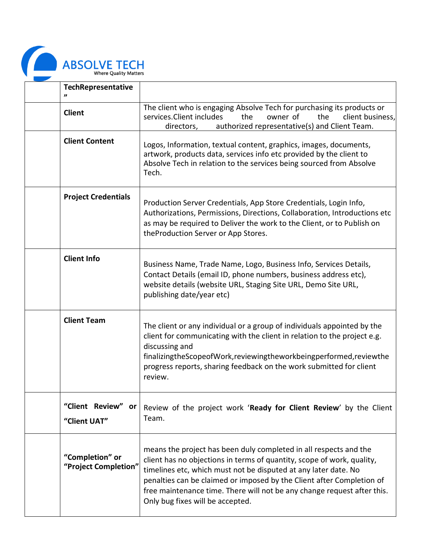

| TechRepresentative                           |                                                                                                                                                                                                                                                                                                                                                                                                        |
|----------------------------------------------|--------------------------------------------------------------------------------------------------------------------------------------------------------------------------------------------------------------------------------------------------------------------------------------------------------------------------------------------------------------------------------------------------------|
| <b>Client</b>                                | The client who is engaging Absolve Tech for purchasing its products or<br>services. Client includes<br>owner of<br>the<br>the<br>client business,<br>authorized representative(s) and Client Team.<br>directors,                                                                                                                                                                                       |
| <b>Client Content</b>                        | Logos, Information, textual content, graphics, images, documents,<br>artwork, products data, services info etc provided by the client to<br>Absolve Tech in relation to the services being sourced from Absolve<br>Tech.                                                                                                                                                                               |
| <b>Project Credentials</b>                   | Production Server Credentials, App Store Credentials, Login Info,<br>Authorizations, Permissions, Directions, Collaboration, Introductions etc<br>as may be required to Deliver the work to the Client, or to Publish on<br>theProduction Server or App Stores.                                                                                                                                        |
| <b>Client Info</b>                           | Business Name, Trade Name, Logo, Business Info, Services Details,<br>Contact Details (email ID, phone numbers, business address etc),<br>website details (website URL, Staging Site URL, Demo Site URL,<br>publishing date/year etc)                                                                                                                                                                   |
| <b>Client Team</b>                           | The client or any individual or a group of individuals appointed by the<br>client for communicating with the client in relation to the project e.g.<br>discussing and<br>finalizingtheScopeofWork, reviewingtheworkbeingperformed, reviewthe<br>progress reports, sharing feedback on the work submitted for client<br>review.                                                                         |
| "Client Review"<br><b>or</b><br>"Client UAT" | Review of the project work 'Ready for Client Review' by the Client<br>Team.                                                                                                                                                                                                                                                                                                                            |
| "Completion" or<br>"Project Completion"      | means the project has been duly completed in all respects and the<br>client has no objections in terms of quantity, scope of work, quality,<br>timelines etc, which must not be disputed at any later date. No<br>penalties can be claimed or imposed by the Client after Completion of<br>free maintenance time. There will not be any change request after this.<br>Only bug fixes will be accepted. |

┑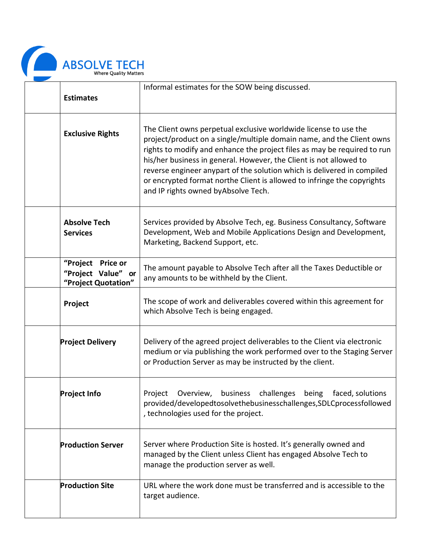

| <b>Estimates</b>                                                  | Informal estimates for the SOW being discussed.                                                                                                                                                                                                                                                                                                                                                                                                                                           |
|-------------------------------------------------------------------|-------------------------------------------------------------------------------------------------------------------------------------------------------------------------------------------------------------------------------------------------------------------------------------------------------------------------------------------------------------------------------------------------------------------------------------------------------------------------------------------|
| <b>Exclusive Rights</b>                                           | The Client owns perpetual exclusive worldwide license to use the<br>project/product on a single/multiple domain name, and the Client owns<br>rights to modify and enhance the project files as may be required to run<br>his/her business in general. However, the Client is not allowed to<br>reverse engineer anypart of the solution which is delivered in compiled<br>or encrypted format northe Client is allowed to infringe the copyrights<br>and IP rights owned by Absolve Tech. |
| <b>Absolve Tech</b><br><b>Services</b>                            | Services provided by Absolve Tech, eg. Business Consultancy, Software<br>Development, Web and Mobile Applications Design and Development,<br>Marketing, Backend Support, etc.                                                                                                                                                                                                                                                                                                             |
| "Project<br>Price or<br>"Project Value" or<br>"Project Quotation" | The amount payable to Absolve Tech after all the Taxes Deductible or<br>any amounts to be withheld by the Client.                                                                                                                                                                                                                                                                                                                                                                         |
| Project                                                           | The scope of work and deliverables covered within this agreement for<br>which Absolve Tech is being engaged.                                                                                                                                                                                                                                                                                                                                                                              |
| <b>Project Delivery</b>                                           | Delivery of the agreed project deliverables to the Client via electronic<br>medium or via publishing the work performed over to the Staging Server<br>or Production Server as may be instructed by the client.                                                                                                                                                                                                                                                                            |
| <b>Project Info</b>                                               | Project<br>business<br>challenges<br>being<br>faced, solutions<br>Overview,<br>provided/developedtosolvethebusinesschallenges, SDLCprocessfollowed<br>, technologies used for the project.                                                                                                                                                                                                                                                                                                |
| <b>Production Server</b>                                          | Server where Production Site is hosted. It's generally owned and<br>managed by the Client unless Client has engaged Absolve Tech to<br>manage the production server as well.                                                                                                                                                                                                                                                                                                              |
| <b>Production Site</b>                                            | URL where the work done must be transferred and is accessible to the<br>target audience.                                                                                                                                                                                                                                                                                                                                                                                                  |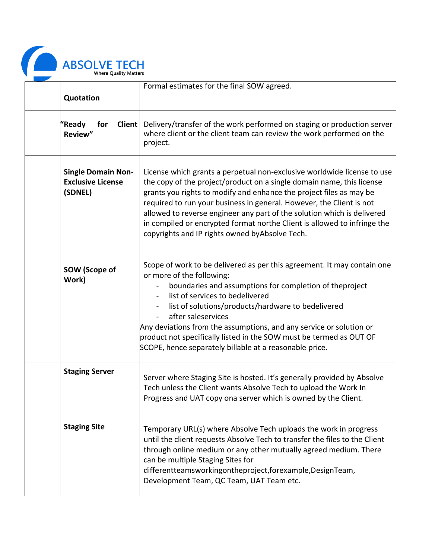

|                                                                  | Formal estimates for the final SOW agreed.                                                                                                                                                                                                                                                                                                                                                                                                                                                                |
|------------------------------------------------------------------|-----------------------------------------------------------------------------------------------------------------------------------------------------------------------------------------------------------------------------------------------------------------------------------------------------------------------------------------------------------------------------------------------------------------------------------------------------------------------------------------------------------|
| Quotation                                                        |                                                                                                                                                                                                                                                                                                                                                                                                                                                                                                           |
| "Ready<br><b>Client</b><br>for<br>Review"                        | Delivery/transfer of the work performed on staging or production server<br>where client or the client team can review the work performed on the<br>project.                                                                                                                                                                                                                                                                                                                                               |
| <b>Single Domain Non-</b><br><b>Exclusive License</b><br>(SDNEL) | License which grants a perpetual non-exclusive worldwide license to use<br>the copy of the project/product on a single domain name, this license<br>grants you rights to modify and enhance the project files as may be<br>required to run your business in general. However, the Client is not<br>allowed to reverse engineer any part of the solution which is delivered<br>in compiled or encrypted format northe Client is allowed to infringe the<br>copyrights and IP rights owned by Absolve Tech. |
| SOW (Scope of<br>Work)                                           | Scope of work to be delivered as per this agreement. It may contain one<br>or more of the following:<br>boundaries and assumptions for completion of theproject<br>list of services to bedelivered<br>list of solutions/products/hardware to bedelivered<br>after saleservices<br>Any deviations from the assumptions, and any service or solution or<br>product not specifically listed in the SOW must be termed as OUT OF<br>SCOPE, hence separately billable at a reasonable price.                   |
| <b>Staging Server</b>                                            | Server where Staging Site is hosted. It's generally provided by Absolve<br>Tech unless the Client wants Absolve Tech to upload the Work In<br>Progress and UAT copy ona server which is owned by the Client.                                                                                                                                                                                                                                                                                              |
| <b>Staging Site</b>                                              | Temporary URL(s) where Absolve Tech uploads the work in progress<br>until the client requests Absolve Tech to transfer the files to the Client<br>through online medium or any other mutually agreed medium. There<br>can be multiple Staging Sites for<br>differentteamsworkingontheproject,forexample,DesignTeam,<br>Development Team, QC Team, UAT Team etc.                                                                                                                                           |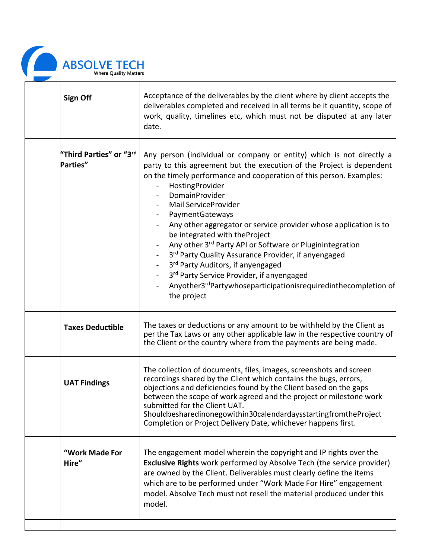

| <b>Sign Off</b>                     | Acceptance of the deliverables by the client where by client accepts the<br>deliverables completed and received in all terms be it quantity, scope of<br>work, quality, timelines etc, which must not be disputed at any later<br>date.                                                                                                                                                                                                                                                                                                                                                                                                                                                                             |
|-------------------------------------|---------------------------------------------------------------------------------------------------------------------------------------------------------------------------------------------------------------------------------------------------------------------------------------------------------------------------------------------------------------------------------------------------------------------------------------------------------------------------------------------------------------------------------------------------------------------------------------------------------------------------------------------------------------------------------------------------------------------|
| "Third Parties" or "3rd<br>Parties" | Any person (individual or company or entity) which is not directly a<br>party to this agreement but the execution of the Project is dependent<br>on the timely performance and cooperation of this person. Examples:<br>HostingProvider<br><b>DomainProvider</b><br>Mail ServiceProvider<br>PaymentGateways<br>Any other aggregator or service provider whose application is to<br>be integrated with theProject<br>Any other 3rd Party API or Software or Pluginintegration<br>3rd Party Quality Assurance Provider, if anyengaged<br>3rd Party Auditors, if anyengaged<br>3rd Party Service Provider, if anyengaged<br>Anyother3 <sup>rd</sup> Partywhoseparticipationisrequiredinthecompletion of<br>the project |
| <b>Taxes Deductible</b>             | The taxes or deductions or any amount to be withheld by the Client as<br>per the Tax Laws or any other applicable law in the respective country of<br>the Client or the country where from the payments are being made.                                                                                                                                                                                                                                                                                                                                                                                                                                                                                             |
| <b>UAT Findings</b>                 | The collection of documents, files, images, screenshots and screen<br>recordings shared by the Client which contains the bugs, errors,<br>objections and deficiencies found by the Client based on the gaps<br>between the scope of work agreed and the project or milestone work<br>submitted for the Client UAT.<br>Shouldbesharedinonegowithin30calendardaysstartingfromtheProject<br>Completion or Project Delivery Date, whichever happens first.                                                                                                                                                                                                                                                              |
| "Work Made For<br>Hire"             | The engagement model wherein the copyright and IP rights over the<br>Exclusive Rights work performed by Absolve Tech (the service provider)<br>are owned by the Client. Deliverables must clearly define the items<br>which are to be performed under "Work Made For Hire" engagement<br>model. Absolve Tech must not resell the material produced under this<br>model.                                                                                                                                                                                                                                                                                                                                             |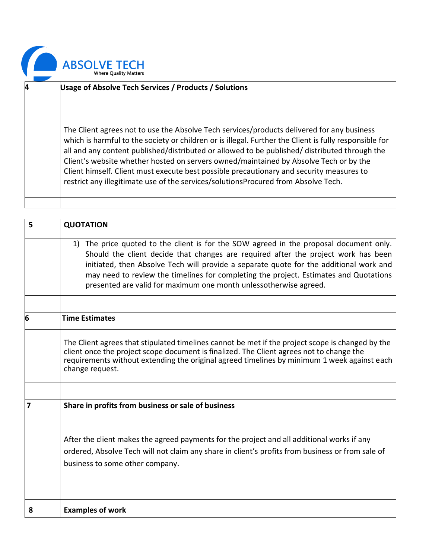

| 4 | <b>Usage of Absolve Tech Services / Products / Solutions</b>                                                                                                                                                                                                                                                                                                                                                                                                                                                                                                                     |
|---|----------------------------------------------------------------------------------------------------------------------------------------------------------------------------------------------------------------------------------------------------------------------------------------------------------------------------------------------------------------------------------------------------------------------------------------------------------------------------------------------------------------------------------------------------------------------------------|
|   | The Client agrees not to use the Absolve Tech services/products delivered for any business<br>which is harmful to the society or children or is illegal. Further the Client is fully responsible for<br>all and any content published/distributed or allowed to be published/ distributed through the<br>Client's website whether hosted on servers owned/maintained by Absolve Tech or by the<br>Client himself. Client must execute best possible precautionary and security measures to<br>restrict any illegitimate use of the services/solutionsProcured from Absolve Tech. |

| 5 | <b>QUOTATION</b>                                                                                                                                                                                                                                                                                                                                                                                                                     |  |
|---|--------------------------------------------------------------------------------------------------------------------------------------------------------------------------------------------------------------------------------------------------------------------------------------------------------------------------------------------------------------------------------------------------------------------------------------|--|
|   | 1) The price quoted to the client is for the SOW agreed in the proposal document only.<br>Should the client decide that changes are required after the project work has been<br>initiated, then Absolve Tech will provide a separate quote for the additional work and<br>may need to review the timelines for completing the project. Estimates and Quotations<br>presented are valid for maximum one month unlessotherwise agreed. |  |
|   |                                                                                                                                                                                                                                                                                                                                                                                                                                      |  |
| 6 | <b>Time Estimates</b>                                                                                                                                                                                                                                                                                                                                                                                                                |  |
|   | The Client agrees that stipulated timelines cannot be met if the project scope is changed by the<br>client once the project scope document is finalized. The Client agrees not to change the<br>requirements without extending the original agreed timelines by minimum 1 week against each<br>change request.                                                                                                                       |  |
|   |                                                                                                                                                                                                                                                                                                                                                                                                                                      |  |
| 7 | Share in profits from business or sale of business                                                                                                                                                                                                                                                                                                                                                                                   |  |
|   | After the client makes the agreed payments for the project and all additional works if any<br>ordered, Absolve Tech will not claim any share in client's profits from business or from sale of<br>business to some other company.                                                                                                                                                                                                    |  |
|   |                                                                                                                                                                                                                                                                                                                                                                                                                                      |  |
| 8 | <b>Examples of work</b>                                                                                                                                                                                                                                                                                                                                                                                                              |  |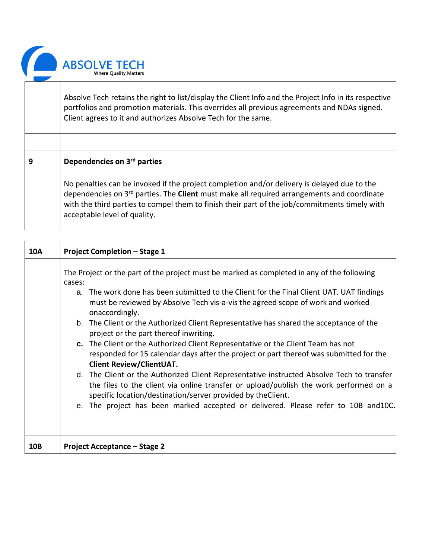

Absolve Tech retains the right to list/display the Client Info and the Project Info in its respective portfolios and promotion materials. This overrides all previous agreements and NDAs signed. Client agrees to it and authorizes Absolve Tech for the same.

| 9 | Dependencies on 3rd parties                                                                                                                                                                                                                                                                                                                   |
|---|-----------------------------------------------------------------------------------------------------------------------------------------------------------------------------------------------------------------------------------------------------------------------------------------------------------------------------------------------|
|   | No penalties can be invoked if the project completion and/or delivery is delayed due to the<br>dependencies on 3 <sup>rd</sup> parties. The <b>Client</b> must make all required arrangements and coordinate<br>with the third parties to compel them to finish their part of the job/commitments timely with<br>acceptable level of quality. |

| 10A | <b>Project Completion - Stage 1</b>                                                                                                                                                                                                                |  |  |
|-----|----------------------------------------------------------------------------------------------------------------------------------------------------------------------------------------------------------------------------------------------------|--|--|
|     | The Project or the part of the project must be marked as completed in any of the following<br>cases:                                                                                                                                               |  |  |
|     | a. The work done has been submitted to the Client for the Final Client UAT. UAT findings<br>must be reviewed by Absolve Tech vis-a-vis the agreed scope of work and worked<br>onaccordingly.                                                       |  |  |
|     | b. The Client or the Authorized Client Representative has shared the acceptance of the<br>project or the part thereof inwriting.                                                                                                                   |  |  |
|     | c. The Client or the Authorized Client Representative or the Client Team has not<br>responded for 15 calendar days after the project or part thereof was submitted for the<br><b>Client Review/ClientUAT.</b>                                      |  |  |
|     | d. The Client or the Authorized Client Representative instructed Absolve Tech to transfer<br>the files to the client via online transfer or upload/publish the work performed on a<br>specific location/destination/server provided by the Client. |  |  |
|     | e. The project has been marked accepted or delivered. Please refer to 10B and10C.                                                                                                                                                                  |  |  |
|     |                                                                                                                                                                                                                                                    |  |  |
| 10B | <b>Project Acceptance - Stage 2</b>                                                                                                                                                                                                                |  |  |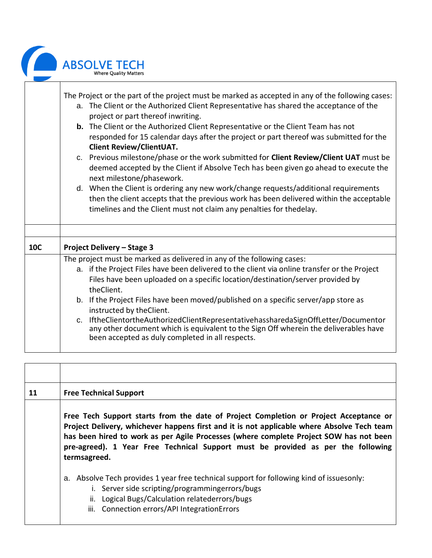|            | <b>ABSOLVE TECH</b><br><b>Where Ouality Matters</b>                                                                                                                                                                                                                                                                                                                                                                                                                                                                                                                                                                                                                                                                                                                                                                                                                                                                              |
|------------|----------------------------------------------------------------------------------------------------------------------------------------------------------------------------------------------------------------------------------------------------------------------------------------------------------------------------------------------------------------------------------------------------------------------------------------------------------------------------------------------------------------------------------------------------------------------------------------------------------------------------------------------------------------------------------------------------------------------------------------------------------------------------------------------------------------------------------------------------------------------------------------------------------------------------------|
|            | The Project or the part of the project must be marked as accepted in any of the following cases:<br>a. The Client or the Authorized Client Representative has shared the acceptance of the<br>project or part thereof inwriting.<br><b>b.</b> The Client or the Authorized Client Representative or the Client Team has not<br>responded for 15 calendar days after the project or part thereof was submitted for the<br><b>Client Review/ClientUAT.</b><br>c. Previous milestone/phase or the work submitted for Client Review/Client UAT must be<br>deemed accepted by the Client if Absolve Tech has been given go ahead to execute the<br>next milestone/phasework.<br>d. When the Client is ordering any new work/change requests/additional requirements<br>then the client accepts that the previous work has been delivered within the acceptable<br>timelines and the Client must not claim any penalties for thedelay. |
| <b>10C</b> | <b>Project Delivery - Stage 3</b>                                                                                                                                                                                                                                                                                                                                                                                                                                                                                                                                                                                                                                                                                                                                                                                                                                                                                                |
|            | The project must be marked as delivered in any of the following cases:                                                                                                                                                                                                                                                                                                                                                                                                                                                                                                                                                                                                                                                                                                                                                                                                                                                           |
|            | a. if the Project Files have been delivered to the client via online transfer or the Project<br>Files have been uploaded on a specific location/destination/server provided by<br>theClient.                                                                                                                                                                                                                                                                                                                                                                                                                                                                                                                                                                                                                                                                                                                                     |
|            | b. If the Project Files have been moved/published on a specific server/app store as<br>instructed by theClient.                                                                                                                                                                                                                                                                                                                                                                                                                                                                                                                                                                                                                                                                                                                                                                                                                  |
|            | c. IftheClientortheAuthorizedClientRepresentativehassharedaSignOffLetter/Documentor<br>any other document which is equivalent to the Sign Off wherein the deliverables have<br>been accepted as duly completed in all respects.                                                                                                                                                                                                                                                                                                                                                                                                                                                                                                                                                                                                                                                                                                  |

| 11 | <b>Free Technical Support</b>                                                                                                                                                                                                                                                                                                                                                     |  |
|----|-----------------------------------------------------------------------------------------------------------------------------------------------------------------------------------------------------------------------------------------------------------------------------------------------------------------------------------------------------------------------------------|--|
|    | Free Tech Support starts from the date of Project Completion or Project Acceptance or<br>Project Delivery, whichever happens first and it is not applicable where Absolve Tech team<br>has been hired to work as per Agile Processes (where complete Project SOW has not been<br>pre-agreed). 1 Year Free Technical Support must be provided as per the following<br>termsagreed. |  |
|    | Absolve Tech provides 1 year free technical support for following kind of issuesonly:<br>а.<br>i. Server side scripting/programmingerrors/bugs<br>ii. Logical Bugs/Calculation relatederrors/bugs<br>iii. Connection errors/API IntegrationErrors                                                                                                                                 |  |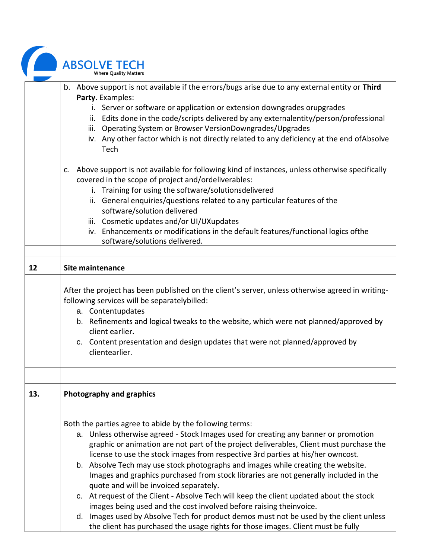|     | <b>ABSOLVE TECH</b><br><b>Where Quality Matters</b>                                                                                                                                                                                                                                                                                                                                                                                                                                                                                                                                                                                                                                                                                                                                                                                                                                               |
|-----|---------------------------------------------------------------------------------------------------------------------------------------------------------------------------------------------------------------------------------------------------------------------------------------------------------------------------------------------------------------------------------------------------------------------------------------------------------------------------------------------------------------------------------------------------------------------------------------------------------------------------------------------------------------------------------------------------------------------------------------------------------------------------------------------------------------------------------------------------------------------------------------------------|
|     | b. Above support is not available if the errors/bugs arise due to any external entity or Third<br>Party. Examples:<br>i. Server or software or application or extension downgrades orupgrades<br>ii. Edits done in the code/scripts delivered by any externalentity/person/professional<br>iii. Operating System or Browser VersionDowngrades/Upgrades<br>iv. Any other factor which is not directly related to any deficiency at the end of Absolve<br>Tech                                                                                                                                                                                                                                                                                                                                                                                                                                      |
|     | c. Above support is not available for following kind of instances, unless otherwise specifically<br>covered in the scope of project and/ordeliverables:<br>i. Training for using the software/solutionsdelivered<br>ii. General enquiries/questions related to any particular features of the<br>software/solution delivered<br>iii. Cosmetic updates and/or UI/UXupdates<br>iv. Enhancements or modifications in the default features/functional logics ofthe<br>software/solutions delivered.                                                                                                                                                                                                                                                                                                                                                                                                   |
| 12  | <b>Site maintenance</b>                                                                                                                                                                                                                                                                                                                                                                                                                                                                                                                                                                                                                                                                                                                                                                                                                                                                           |
|     | After the project has been published on the client's server, unless otherwise agreed in writing-<br>following services will be separatelybilled:<br>a. Contentupdates<br>b. Refinements and logical tweaks to the website, which were not planned/approved by<br>client earlier.<br>c. Content presentation and design updates that were not planned/approved by<br>clientearlier.                                                                                                                                                                                                                                                                                                                                                                                                                                                                                                                |
| 13. | Photography and graphics                                                                                                                                                                                                                                                                                                                                                                                                                                                                                                                                                                                                                                                                                                                                                                                                                                                                          |
|     | Both the parties agree to abide by the following terms:<br>a. Unless otherwise agreed - Stock Images used for creating any banner or promotion<br>graphic or animation are not part of the project deliverables, Client must purchase the<br>license to use the stock images from respective 3rd parties at his/her owncost.<br>b. Absolve Tech may use stock photographs and images while creating the website.<br>Images and graphics purchased from stock libraries are not generally included in the<br>quote and will be invoiced separately.<br>c. At request of the Client - Absolve Tech will keep the client updated about the stock<br>images being used and the cost involved before raising theinvoice.<br>d. Images used by Absolve Tech for product demos must not be used by the client unless<br>the client has purchased the usage rights for those images. Client must be fully |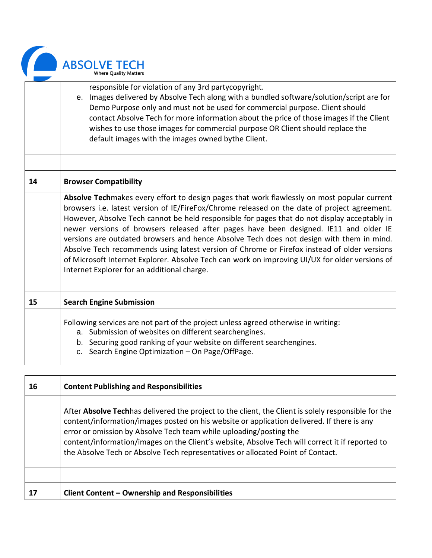

| responsible for violation of any 3rd partycopyright.                                                                     |  |  |
|--------------------------------------------------------------------------------------------------------------------------|--|--|
| e. Images delivered by Absolve Tech along with a bundled software/solution/script are for                                |  |  |
| Demo Purpose only and must not be used for commercial purpose. Client should                                             |  |  |
| contact Absolve Tech for more information about the price of those images if the Client                                  |  |  |
| wishes to use those images for commercial purpose OR Client should replace the                                           |  |  |
| default images with the images owned bythe Client.                                                                       |  |  |
|                                                                                                                          |  |  |
|                                                                                                                          |  |  |
|                                                                                                                          |  |  |
| <b>Browser Compatibility</b>                                                                                             |  |  |
| Absolve Techmakes every effort to design pages that work flawlessly on most popular current                              |  |  |
| browsers i.e. latest version of IE/FireFox/Chrome released on the date of project agreement.                             |  |  |
| However, Absolve Tech cannot be held responsible for pages that do not display acceptably in                             |  |  |
| newer versions of browsers released after pages have been designed. IE11 and older IE                                    |  |  |
| versions are outdated browsers and hence Absolve Tech does not design with them in mind.                                 |  |  |
| Absolve Tech recommends using latest version of Chrome or Firefox instead of older versions                              |  |  |
| of Microsoft Internet Explorer. Absolve Tech can work on improving UI/UX for older versions of                           |  |  |
|                                                                                                                          |  |  |
| Internet Explorer for an additional charge.                                                                              |  |  |
|                                                                                                                          |  |  |
| <b>Search Engine Submission</b>                                                                                          |  |  |
|                                                                                                                          |  |  |
| Following services are not part of the project unless agreed otherwise in writing:                                       |  |  |
| a. Submission of websites on different searchengines.                                                                    |  |  |
|                                                                                                                          |  |  |
| b. Securing good ranking of your website on different searchengines.<br>c. Search Engine Optimization - On Page/OffPage. |  |  |
|                                                                                                                          |  |  |

| 16 | <b>Content Publishing and Responsibilities</b>                                                                                                                                                                                                                                                                                                                                                                                                                        |
|----|-----------------------------------------------------------------------------------------------------------------------------------------------------------------------------------------------------------------------------------------------------------------------------------------------------------------------------------------------------------------------------------------------------------------------------------------------------------------------|
|    | After <b>Absolve Tech</b> has delivered the project to the client, the Client is solely responsible for the<br>content/information/images posted on his website or application delivered. If there is any<br>error or omission by Absolve Tech team while uploading/posting the<br>content/information/images on the Client's website, Absolve Tech will correct it if reported to<br>the Absolve Tech or Absolve Tech representatives or allocated Point of Contact. |
|    |                                                                                                                                                                                                                                                                                                                                                                                                                                                                       |
| 17 | <b>Client Content - Ownership and Responsibilities</b>                                                                                                                                                                                                                                                                                                                                                                                                                |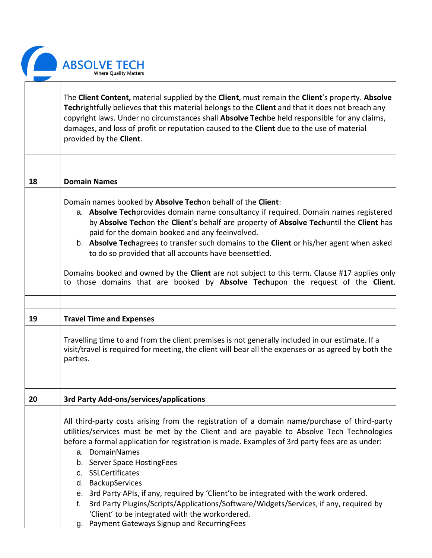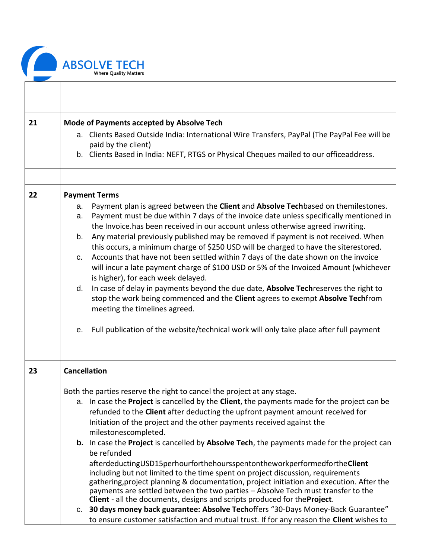

| 21 | Mode of Payments accepted by Absolve Tech                                                                                                                                                                                                                                                                                                                                                                                                                                                                                                                                                                                                                                                                                                                                                                                                                                                                                                                                                                                                                                                     |
|----|-----------------------------------------------------------------------------------------------------------------------------------------------------------------------------------------------------------------------------------------------------------------------------------------------------------------------------------------------------------------------------------------------------------------------------------------------------------------------------------------------------------------------------------------------------------------------------------------------------------------------------------------------------------------------------------------------------------------------------------------------------------------------------------------------------------------------------------------------------------------------------------------------------------------------------------------------------------------------------------------------------------------------------------------------------------------------------------------------|
|    | a. Clients Based Outside India: International Wire Transfers, PayPal (The PayPal Fee will be<br>paid by the client)                                                                                                                                                                                                                                                                                                                                                                                                                                                                                                                                                                                                                                                                                                                                                                                                                                                                                                                                                                           |
|    | b. Clients Based in India: NEFT, RTGS or Physical Cheques mailed to our officeaddress.                                                                                                                                                                                                                                                                                                                                                                                                                                                                                                                                                                                                                                                                                                                                                                                                                                                                                                                                                                                                        |
|    |                                                                                                                                                                                                                                                                                                                                                                                                                                                                                                                                                                                                                                                                                                                                                                                                                                                                                                                                                                                                                                                                                               |
| 22 | <b>Payment Terms</b>                                                                                                                                                                                                                                                                                                                                                                                                                                                                                                                                                                                                                                                                                                                                                                                                                                                                                                                                                                                                                                                                          |
|    | Payment plan is agreed between the Client and Absolve Techbased on themilestones.<br>a.<br>Payment must be due within 7 days of the invoice date unless specifically mentioned in<br>a.<br>the Invoice.has been received in our account unless otherwise agreed inwriting.<br>Any material previously published may be removed if payment is not received. When<br>b.<br>this occurs, a minimum charge of \$250 USD will be charged to have the siterestored.<br>Accounts that have not been settled within 7 days of the date shown on the invoice<br>C.<br>will incur a late payment charge of \$100 USD or 5% of the Invoiced Amount (whichever<br>is higher), for each week delayed.<br>In case of delay in payments beyond the due date, Absolve Techreserves the right to<br>d.<br>stop the work being commenced and the Client agrees to exempt Absolve Techfrom<br>meeting the timelines agreed.<br>Full publication of the website/technical work will only take place after full payment<br>е.                                                                                      |
| 23 | <b>Cancellation</b>                                                                                                                                                                                                                                                                                                                                                                                                                                                                                                                                                                                                                                                                                                                                                                                                                                                                                                                                                                                                                                                                           |
|    | Both the parties reserve the right to cancel the project at any stage.<br>a. In case the Project is cancelled by the Client, the payments made for the project can be<br>refunded to the <b>Client</b> after deducting the upfront payment amount received for<br>Initiation of the project and the other payments received against the<br>milestonescompleted.<br>b. In case the Project is cancelled by Absolve Tech, the payments made for the project can<br>be refunded<br>afterdeductingUSD15perhourforthehoursspentontheworkperformedfortheClient<br>including but not limited to the time spent on project discussion, requirements<br>gathering, project planning & documentation, project initiation and execution. After the<br>payments are settled between the two parties - Absolve Tech must transfer to the<br>Client - all the documents, designs and scripts produced for the Project.<br>30 days money back guarantee: Absolve Techoffers "30-Days Money-Back Guarantee"<br>C.<br>to ensure customer satisfaction and mutual trust. If for any reason the Client wishes to |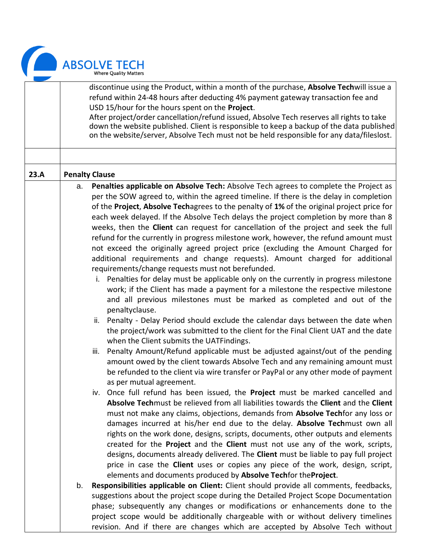

|      | discontinue using the Product, within a month of the purchase, Absolve Techwill issue a<br>refund within 24-48 hours after deducting 4% payment gateway transaction fee and<br>USD 15/hour for the hours spent on the Project.<br>After project/order cancellation/refund issued, Absolve Tech reserves all rights to take<br>down the website published. Client is responsible to keep a backup of the data published<br>on the website/server, Absolve Tech must not be held responsible for any data/fileslost. |                                                                                                                                                                                                                                                                                                                                                                                                                                                                                                                                                                                                                                                                                                                                                                                                                                                                                                                                                                                                                                                                                                                                                                                                                                                                                                                                                                                                                                                                                                                                                                                                                                                                                                                                                                                                                                                                                                                                                                                                                                                                                                                                                                                                                                                                                                                                                                                                                                                                                                                                                                                                                      |
|------|--------------------------------------------------------------------------------------------------------------------------------------------------------------------------------------------------------------------------------------------------------------------------------------------------------------------------------------------------------------------------------------------------------------------------------------------------------------------------------------------------------------------|----------------------------------------------------------------------------------------------------------------------------------------------------------------------------------------------------------------------------------------------------------------------------------------------------------------------------------------------------------------------------------------------------------------------------------------------------------------------------------------------------------------------------------------------------------------------------------------------------------------------------------------------------------------------------------------------------------------------------------------------------------------------------------------------------------------------------------------------------------------------------------------------------------------------------------------------------------------------------------------------------------------------------------------------------------------------------------------------------------------------------------------------------------------------------------------------------------------------------------------------------------------------------------------------------------------------------------------------------------------------------------------------------------------------------------------------------------------------------------------------------------------------------------------------------------------------------------------------------------------------------------------------------------------------------------------------------------------------------------------------------------------------------------------------------------------------------------------------------------------------------------------------------------------------------------------------------------------------------------------------------------------------------------------------------------------------------------------------------------------------------------------------------------------------------------------------------------------------------------------------------------------------------------------------------------------------------------------------------------------------------------------------------------------------------------------------------------------------------------------------------------------------------------------------------------------------------------------------------------------------|
|      |                                                                                                                                                                                                                                                                                                                                                                                                                                                                                                                    |                                                                                                                                                                                                                                                                                                                                                                                                                                                                                                                                                                                                                                                                                                                                                                                                                                                                                                                                                                                                                                                                                                                                                                                                                                                                                                                                                                                                                                                                                                                                                                                                                                                                                                                                                                                                                                                                                                                                                                                                                                                                                                                                                                                                                                                                                                                                                                                                                                                                                                                                                                                                                      |
| 23.A |                                                                                                                                                                                                                                                                                                                                                                                                                                                                                                                    | <b>Penalty Clause</b>                                                                                                                                                                                                                                                                                                                                                                                                                                                                                                                                                                                                                                                                                                                                                                                                                                                                                                                                                                                                                                                                                                                                                                                                                                                                                                                                                                                                                                                                                                                                                                                                                                                                                                                                                                                                                                                                                                                                                                                                                                                                                                                                                                                                                                                                                                                                                                                                                                                                                                                                                                                                |
|      | a.<br>b.                                                                                                                                                                                                                                                                                                                                                                                                                                                                                                           | Penalties applicable on Absolve Tech: Absolve Tech agrees to complete the Project as<br>per the SOW agreed to, within the agreed timeline. If there is the delay in completion<br>of the Project, Absolve Techagrees to the penalty of 1% of the original project price for<br>each week delayed. If the Absolve Tech delays the project completion by more than 8<br>weeks, then the <b>Client</b> can request for cancellation of the project and seek the full<br>refund for the currently in progress milestone work, however, the refund amount must<br>not exceed the originally agreed project price (excluding the Amount Charged for<br>additional requirements and change requests). Amount charged for additional<br>requirements/change requests must not berefunded.<br>Penalties for delay must be applicable only on the currently in progress milestone<br>i.<br>work; if the Client has made a payment for a milestone the respective milestone<br>and all previous milestones must be marked as completed and out of the<br>penaltyclause.<br>ii. Penalty - Delay Period should exclude the calendar days between the date when<br>the project/work was submitted to the client for the Final Client UAT and the date<br>when the Client submits the UATFindings.<br>Penalty Amount/Refund applicable must be adjusted against/out of the pending<br>iii.<br>amount owed by the client towards Absolve Tech and any remaining amount must<br>be refunded to the client via wire transfer or PayPal or any other mode of payment<br>as per mutual agreement.<br>iv. Once full refund has been issued, the Project must be marked cancelled and<br>Absolve Techmust be relieved from all liabilities towards the Client and the Client<br>must not make any claims, objections, demands from <b>Absolve Techfor</b> any loss or<br>damages incurred at his/her end due to the delay. Absolve Techmust own all<br>rights on the work done, designs, scripts, documents, other outputs and elements<br>created for the Project and the Client must not use any of the work, scripts,<br>designs, documents already delivered. The Client must be liable to pay full project<br>price in case the <b>Client</b> uses or copies any piece of the work, design, script,<br>elements and documents produced by Absolve Techfor theProject.<br>Responsibilities applicable on Client: Client should provide all comments, feedbacks,<br>suggestions about the project scope during the Detailed Project Scope Documentation<br>phase; subsequently any changes or modifications or enhancements done to the |
|      |                                                                                                                                                                                                                                                                                                                                                                                                                                                                                                                    | project scope would be additionally chargeable with or without delivery timelines                                                                                                                                                                                                                                                                                                                                                                                                                                                                                                                                                                                                                                                                                                                                                                                                                                                                                                                                                                                                                                                                                                                                                                                                                                                                                                                                                                                                                                                                                                                                                                                                                                                                                                                                                                                                                                                                                                                                                                                                                                                                                                                                                                                                                                                                                                                                                                                                                                                                                                                                    |

revision. And if there are changes which are accepted by Absolve Tech without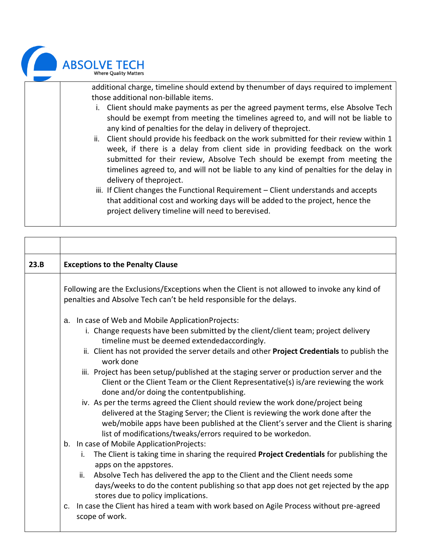

| additional charge, timeline should extend by thenumber of days required to implement<br>those additional non-billable items.                                                                                                                                                                                                                                             |
|--------------------------------------------------------------------------------------------------------------------------------------------------------------------------------------------------------------------------------------------------------------------------------------------------------------------------------------------------------------------------|
| i. Client should make payments as per the agreed payment terms, else Absolve Tech<br>should be exempt from meeting the timelines agreed to, and will not be liable to<br>any kind of penalties for the delay in delivery of theproject.                                                                                                                                  |
| ii. Client should provide his feedback on the work submitted for their review within 1<br>week, if there is a delay from client side in providing feedback on the work<br>submitted for their review, Absolve Tech should be exempt from meeting the<br>timelines agreed to, and will not be liable to any kind of penalties for the delay in<br>delivery of theproject. |
| iii. If Client changes the Functional Requirement – Client understands and accepts<br>that additional cost and working days will be added to the project, hence the<br>project delivery timeline will need to berevised.                                                                                                                                                 |

| 23.B | <b>Exceptions to the Penalty Clause</b>                                                                                                                                                                                                                                                                                                                                                                                                                                                                                                                                                                                                                                                                                                                                                             |
|------|-----------------------------------------------------------------------------------------------------------------------------------------------------------------------------------------------------------------------------------------------------------------------------------------------------------------------------------------------------------------------------------------------------------------------------------------------------------------------------------------------------------------------------------------------------------------------------------------------------------------------------------------------------------------------------------------------------------------------------------------------------------------------------------------------------|
|      | Following are the Exclusions/Exceptions when the Client is not allowed to invoke any kind of<br>penalties and Absolve Tech can't be held responsible for the delays.                                                                                                                                                                                                                                                                                                                                                                                                                                                                                                                                                                                                                                |
|      | a. In case of Web and Mobile Application Projects:<br>i. Change requests have been submitted by the client/client team; project delivery<br>timeline must be deemed extendedaccordingly.<br>ii. Client has not provided the server details and other Project Credentials to publish the<br>work done<br>iii. Project has been setup/published at the staging server or production server and the<br>Client or the Client Team or the Client Representative(s) is/are reviewing the work<br>done and/or doing the contentpublishing.<br>iv. As per the terms agreed the Client should review the work done/project being<br>delivered at the Staging Server; the Client is reviewing the work done after the<br>web/mobile apps have been published at the Client's server and the Client is sharing |
|      | list of modifications/tweaks/errors required to be workedon.<br>b. In case of Mobile ApplicationProjects:<br>The Client is taking time in sharing the required Project Credentials for publishing the<br>i.<br>apps on the appstores.<br>Absolve Tech has delivered the app to the Client and the Client needs some<br>ii.<br>days/weeks to do the content publishing so that app does not get rejected by the app<br>stores due to policy implications.<br>c. In case the Client has hired a team with work based on Agile Process without pre-agreed<br>scope of work.                                                                                                                                                                                                                            |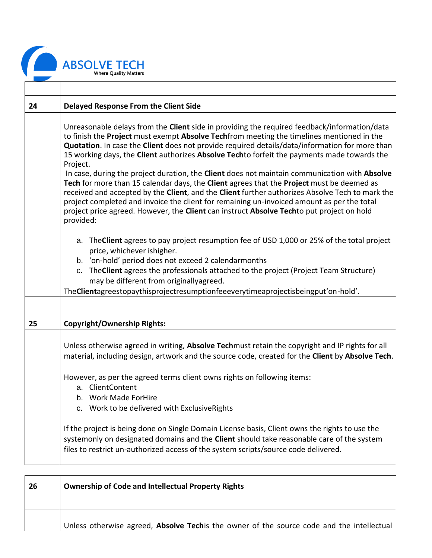

T

| 24 | <b>Delayed Response From the Client Side</b>                                                                                                                                                                                                                                                                                                                                                                                                                                                                                                                                                                                                                                                                                                                                                                                                                                                                    |  |  |  |  |
|----|-----------------------------------------------------------------------------------------------------------------------------------------------------------------------------------------------------------------------------------------------------------------------------------------------------------------------------------------------------------------------------------------------------------------------------------------------------------------------------------------------------------------------------------------------------------------------------------------------------------------------------------------------------------------------------------------------------------------------------------------------------------------------------------------------------------------------------------------------------------------------------------------------------------------|--|--|--|--|
|    | Unreasonable delays from the Client side in providing the required feedback/information/data<br>to finish the Project must exempt Absolve Techfrom meeting the timelines mentioned in the<br>Quotation. In case the Client does not provide required details/data/information for more than<br>15 working days, the Client authorizes Absolve Techto forfeit the payments made towards the<br>Project.<br>In case, during the project duration, the Client does not maintain communication with Absolve<br>Tech for more than 15 calendar days, the Client agrees that the Project must be deemed as<br>received and accepted by the Client, and the Client further authorizes Absolve Tech to mark the<br>project completed and invoice the client for remaining un-invoiced amount as per the total<br>project price agreed. However, the Client can instruct Absolve Techto put project on hold<br>provided: |  |  |  |  |
|    | a. The Client agrees to pay project resumption fee of USD 1,000 or 25% of the total project<br>price, whichever ishigher.<br>b. 'on-hold' period does not exceed 2 calendarmonths<br>c. The Client agrees the professionals attached to the project (Project Team Structure)<br>may be different from originallyagreed.<br>The Clientagreestopaythisprojectresumptionfeeeverytimeaprojectisbeingput'on-hold'.                                                                                                                                                                                                                                                                                                                                                                                                                                                                                                   |  |  |  |  |
|    |                                                                                                                                                                                                                                                                                                                                                                                                                                                                                                                                                                                                                                                                                                                                                                                                                                                                                                                 |  |  |  |  |
| 25 | <b>Copyright/Ownership Rights:</b>                                                                                                                                                                                                                                                                                                                                                                                                                                                                                                                                                                                                                                                                                                                                                                                                                                                                              |  |  |  |  |
|    | Unless otherwise agreed in writing, Absolve Techmust retain the copyright and IP rights for all<br>material, including design, artwork and the source code, created for the Client by Absolve Tech.<br>However, as per the agreed terms client owns rights on following items:<br>a. ClientContent<br>b. Work Made ForHire                                                                                                                                                                                                                                                                                                                                                                                                                                                                                                                                                                                      |  |  |  |  |
|    | c. Work to be delivered with Exclusive Rights                                                                                                                                                                                                                                                                                                                                                                                                                                                                                                                                                                                                                                                                                                                                                                                                                                                                   |  |  |  |  |
|    | If the project is being done on Single Domain License basis, Client owns the rights to use the<br>systemonly on designated domains and the Client should take reasonable care of the system<br>files to restrict un-authorized access of the system scripts/source code delivered.                                                                                                                                                                                                                                                                                                                                                                                                                                                                                                                                                                                                                              |  |  |  |  |

| 26 | <b>Ownership of Code and Intellectual Property Rights</b>                                         |  |  |
|----|---------------------------------------------------------------------------------------------------|--|--|
|    | Unless otherwise agreed, <b>Absolve Tech</b> is the owner of the source code and the intellectual |  |  |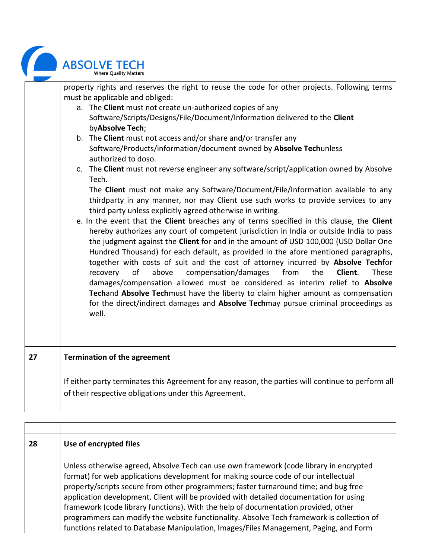|    | <b>ABSOLVE TECH</b><br><b>Where Quality Matters</b>                                                                                                                                                                                                                                                                                                                                                                                                                                                                                                                                                                                                                                                                                                                                                                                                                                                                                                                                                                                                                                                                                                                                                                                                                                                                                                                                                                                                                                                                                                                                                                           |
|----|-------------------------------------------------------------------------------------------------------------------------------------------------------------------------------------------------------------------------------------------------------------------------------------------------------------------------------------------------------------------------------------------------------------------------------------------------------------------------------------------------------------------------------------------------------------------------------------------------------------------------------------------------------------------------------------------------------------------------------------------------------------------------------------------------------------------------------------------------------------------------------------------------------------------------------------------------------------------------------------------------------------------------------------------------------------------------------------------------------------------------------------------------------------------------------------------------------------------------------------------------------------------------------------------------------------------------------------------------------------------------------------------------------------------------------------------------------------------------------------------------------------------------------------------------------------------------------------------------------------------------------|
|    | property rights and reserves the right to reuse the code for other projects. Following terms<br>must be applicable and obliged:<br>a. The Client must not create un-authorized copies of any<br>Software/Scripts/Designs/File/Document/Information delivered to the Client<br>byAbsolve Tech;<br>b. The Client must not access and/or share and/or transfer any<br>Software/Products/information/document owned by Absolve Techunless<br>authorized to doso.<br>c. The Client must not reverse engineer any software/script/application owned by Absolve<br>Tech.<br>The Client must not make any Software/Document/File/Information available to any<br>thirdparty in any manner, nor may Client use such works to provide services to any<br>third party unless explicitly agreed otherwise in writing.<br>e. In the event that the Client breaches any of terms specified in this clause, the Client<br>hereby authorizes any court of competent jurisdiction in India or outside India to pass<br>the judgment against the Client for and in the amount of USD 100,000 (USD Dollar One<br>Hundred Thousand) for each default, as provided in the afore mentioned paragraphs,<br>together with costs of suit and the cost of attorney incurred by Absolve Techfor<br>of<br>above<br>compensation/damages<br>from<br>the<br>Client.<br>These<br>recovery<br>damages/compensation allowed must be considered as interim relief to Absolve<br>Techand Absolve Techmust have the liberty to claim higher amount as compensation<br>for the direct/indirect damages and Absolve Techmay pursue criminal proceedings as<br>well. |
| 27 | <b>Termination of the agreement</b>                                                                                                                                                                                                                                                                                                                                                                                                                                                                                                                                                                                                                                                                                                                                                                                                                                                                                                                                                                                                                                                                                                                                                                                                                                                                                                                                                                                                                                                                                                                                                                                           |
|    | If either party terminates this Agreement for any reason, the parties will continue to perform all<br>of their respective obligations under this Agreement.                                                                                                                                                                                                                                                                                                                                                                                                                                                                                                                                                                                                                                                                                                                                                                                                                                                                                                                                                                                                                                                                                                                                                                                                                                                                                                                                                                                                                                                                   |

| 28 | Use of encrypted files                                                                                                                                                                                                                                                                                                                                                                                                                                                                                                                                                                                                                      |
|----|---------------------------------------------------------------------------------------------------------------------------------------------------------------------------------------------------------------------------------------------------------------------------------------------------------------------------------------------------------------------------------------------------------------------------------------------------------------------------------------------------------------------------------------------------------------------------------------------------------------------------------------------|
|    | Unless otherwise agreed, Absolve Tech can use own framework (code library in encrypted<br>format) for web applications development for making source code of our intellectual<br>property/scripts secure from other programmers; faster turnaround time; and bug free<br>application development. Client will be provided with detailed documentation for using<br>framework (code library functions). With the help of documentation provided, other<br>programmers can modify the website functionality. Absolve Tech framework is collection of<br>functions related to Database Manipulation, Images/Files Management, Paging, and Form |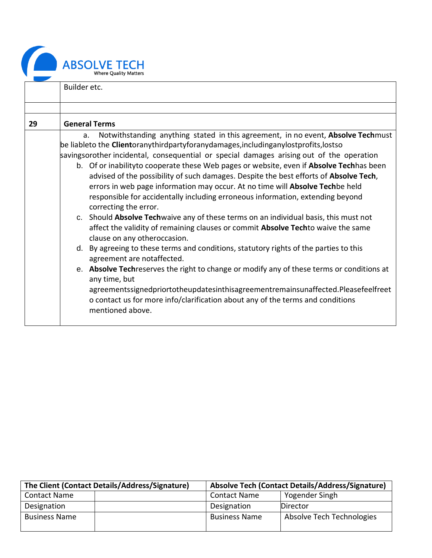|    | <b>ABSOLVE TECH</b><br><b>Where Ouality Matter</b><br>Builder etc.                                                                                                                                                                                                                                                                                                                                                                                                                                                                                                                                                                                                                                                                                                                                                                                                                                                                                                                                                                                                                                                                                                                                                                                                                                                            |
|----|-------------------------------------------------------------------------------------------------------------------------------------------------------------------------------------------------------------------------------------------------------------------------------------------------------------------------------------------------------------------------------------------------------------------------------------------------------------------------------------------------------------------------------------------------------------------------------------------------------------------------------------------------------------------------------------------------------------------------------------------------------------------------------------------------------------------------------------------------------------------------------------------------------------------------------------------------------------------------------------------------------------------------------------------------------------------------------------------------------------------------------------------------------------------------------------------------------------------------------------------------------------------------------------------------------------------------------|
|    |                                                                                                                                                                                                                                                                                                                                                                                                                                                                                                                                                                                                                                                                                                                                                                                                                                                                                                                                                                                                                                                                                                                                                                                                                                                                                                                               |
| 29 | <b>General Terms</b>                                                                                                                                                                                                                                                                                                                                                                                                                                                                                                                                                                                                                                                                                                                                                                                                                                                                                                                                                                                                                                                                                                                                                                                                                                                                                                          |
|    | Notwithstanding anything stated in this agreement, in no event, Absolve Techmust<br>a.<br>be liableto the <b>Client</b> oranythirdpartyforanydamages, includinganylostprofits, lostso<br>savingsorother incidental, consequential or special damages arising out of the operation<br>b. Of or inabilityto cooperate these Web pages or website, even if Absolve Techhas been<br>advised of the possibility of such damages. Despite the best efforts of Absolve Tech,<br>errors in web page information may occur. At no time will <b>Absolve Tech</b> be held<br>responsible for accidentally including erroneous information, extending beyond<br>correcting the error.<br>c. Should Absolve Techwaive any of these terms on an individual basis, this must not<br>affect the validity of remaining clauses or commit <b>Absolve Tech</b> to waive the same<br>clause on any otheroccasion.<br>d. By agreeing to these terms and conditions, statutory rights of the parties to this<br>agreement are notaffected.<br>e. Absolve Techreserves the right to change or modify any of these terms or conditions at<br>any time, but<br>agreementssignedpriortotheupdatesinthisagreementremainsunaffected.Pleasefeelfreet<br>o contact us for more info/clarification about any of the terms and conditions<br>mentioned above. |

| The Client (Contact Details/Address/Signature) | Absolve Tech (Contact Details/Address/Signature) |                           |
|------------------------------------------------|--------------------------------------------------|---------------------------|
| <b>Contact Name</b>                            | <b>Contact Name</b>                              | Yogender Singh            |
| Designation                                    | Designation                                      | Director                  |
| <b>Business Name</b>                           | <b>Business Name</b>                             | Absolve Tech Technologies |